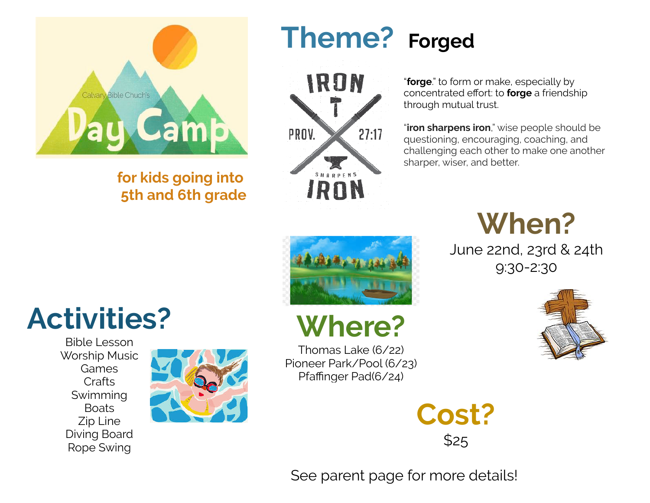

### **for kids going into 5th and 6th grade**

### **Theme? Forged**



"**forge**." to form or make, especially by concentrated effort: to **forge** a friendship through mutual trust.

"**iron sharpens iron**," wise people should be questioning, encouraging, coaching, and challenging each other to make one another sharper, wiser, and better.

# **When?**

June 22nd, 23rd & 24th 9:30-2:30





## **Where?**

Thomas Lake (6/22) Pioneer Park/Pool (6/23) Pfaffinger Pad(6/24)

> **Cost?** \$25

See parent page for more details!

# **Activities?**

Bible Lesson Worship Music Games Crafts Swimming Boats Zip Line Diving Board Rope Swing

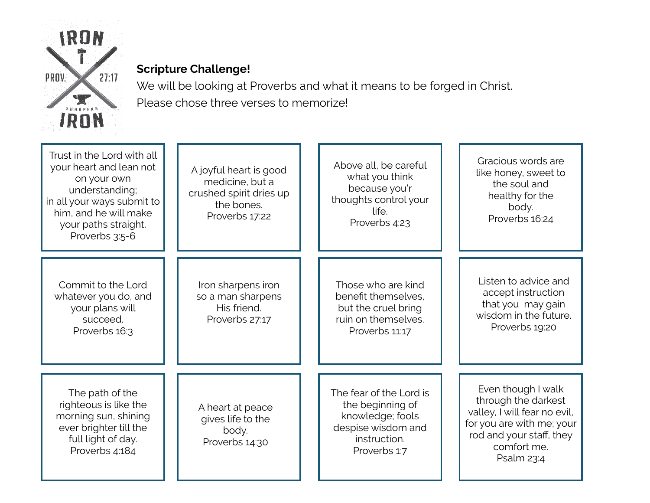

### **Scripture Challenge!**

We will be looking at Proverbs and what it means to be forged in Christ. Please chose three verses to memorize!

| Trust in the Lord with all<br>your heart and lean not<br>on your own<br>understanding;<br>in all your ways submit to<br>him, and he will make<br>your paths straight.<br>Proverbs 3:5-6 | A joyful heart is good<br>medicine, but a<br>crushed spirit dries up<br>the bones.<br>Proverbs 17:22 | Above all, be careful<br>what you think<br>because you'r<br>thoughts control your<br>life.<br>Proverbs 4:23           | Gracious words are<br>like honey, sweet to<br>the soul and<br>healthy for the<br>body.<br>Proverbs 16:24                                                        |
|-----------------------------------------------------------------------------------------------------------------------------------------------------------------------------------------|------------------------------------------------------------------------------------------------------|-----------------------------------------------------------------------------------------------------------------------|-----------------------------------------------------------------------------------------------------------------------------------------------------------------|
| Commit to the Lord<br>whatever you do, and<br>your plans will<br>succeed.<br>Proverbs 16:3                                                                                              | Iron sharpens iron<br>so a man sharpens<br>His friend.<br>Proverbs 27:17                             | Those who are kind<br>benefit themselves,<br>but the cruel bring<br>ruin on themselves.<br>Proverbs 11:17             | Listen to advice and<br>accept instruction<br>that you may gain<br>wisdom in the future.<br>Proverbs 19:20                                                      |
| The path of the<br>righteous is like the<br>morning sun, shining<br>ever brighter till the<br>full light of day.<br>Proverbs 4:184                                                      | A heart at peace<br>gives life to the<br>body.<br>Proverbs 14:30                                     | The fear of the Lord is<br>the beginning of<br>knowledge; fools<br>despise wisdom and<br>instruction.<br>Proverbs 1:7 | Even though I walk<br>through the darkest<br>valley, I will fear no evil,<br>for you are with me; your<br>rod and your staff, they<br>comfort me.<br>Psalm 23:4 |